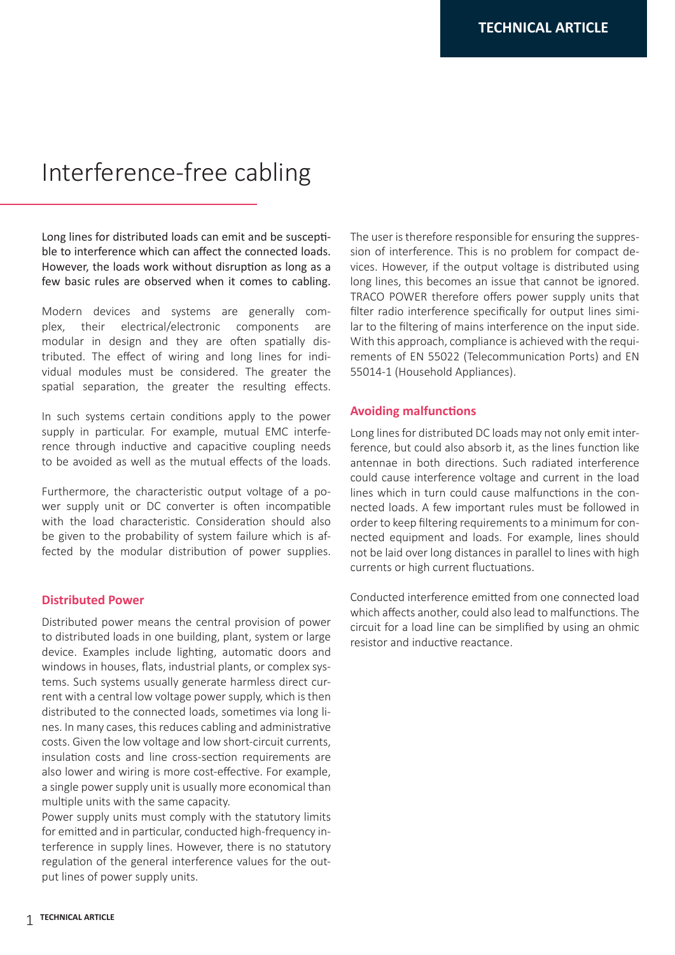# Interference-free cabling

Long lines for distributed loads can emit and be susceptible to interference which can affect the connected loads. However, the loads work without disruption as long as a few basic rules are observed when it comes to cabling.

Modern devices and systems are generally complex, their electrical/electronic components are modular in design and they are often spatially distributed. The effect of wiring and long lines for individual modules must be considered. The greater the spatial separation, the greater the resulting effects.

In such systems certain conditions apply to the power supply in particular. For example, mutual EMC interference through inductive and capacitive coupling needs to be avoided as well as the mutual effects of the loads.

Furthermore, the characteristic output voltage of a power supply unit or DC converter is often incompatible with the load characteristic. Consideration should also be given to the probability of system failure which is affected by the modular distribution of power supplies.

### **Distributed Power**

Distributed power means the central provision of power to distributed loads in one building, plant, system or large device. Examples include lighting, automatic doors and windows in houses, flats, industrial plants, or complex systems. Such systems usually generate harmless direct current with a central low voltage power supply, which is then distributed to the connected loads, sometimes via long lines. In many cases, this reduces cabling and administrative costs. Given the low voltage and low short-circuit currents, insulation costs and line cross-section requirements are also lower and wiring is more cost-effective. For example, a single power supply unit is usually more economical than multiple units with the same capacity.

Power supply units must comply with the statutory limits for emitted and in particular, conducted high-frequency interference in supply lines. However, there is no statutory regulation of the general interference values for the output lines of power supply units.

The user is therefore responsible for ensuring the suppression of interference. This is no problem for compact devices. However, if the output voltage is distributed using long lines, this becomes an issue that cannot be ignored. TRACO POWER therefore offers power supply units that filter radio interference specifically for output lines similar to the filtering of mains interference on the input side. With this approach, compliance is achieved with the requirements of EN 55022 (Telecommunication Ports) and EN 55014-1 (Household Appliances).

#### **Avoiding malfunctions**

Long lines for distributed DC loads may not only emit interference, but could also absorb it, as the lines function like antennae in both directions. Such radiated interference could cause interference voltage and current in the load lines which in turn could cause malfunctions in the connected loads. A few important rules must be followed in order to keep filtering requirements to a minimum for connected equipment and loads. For example, lines should not be laid over long distances in parallel to lines with high currents or high current fluctuations.

Conducted interference emitted from one connected load which affects another, could also lead to malfunctions. The circuit for a load line can be simplified by using an ohmic resistor and inductive reactance.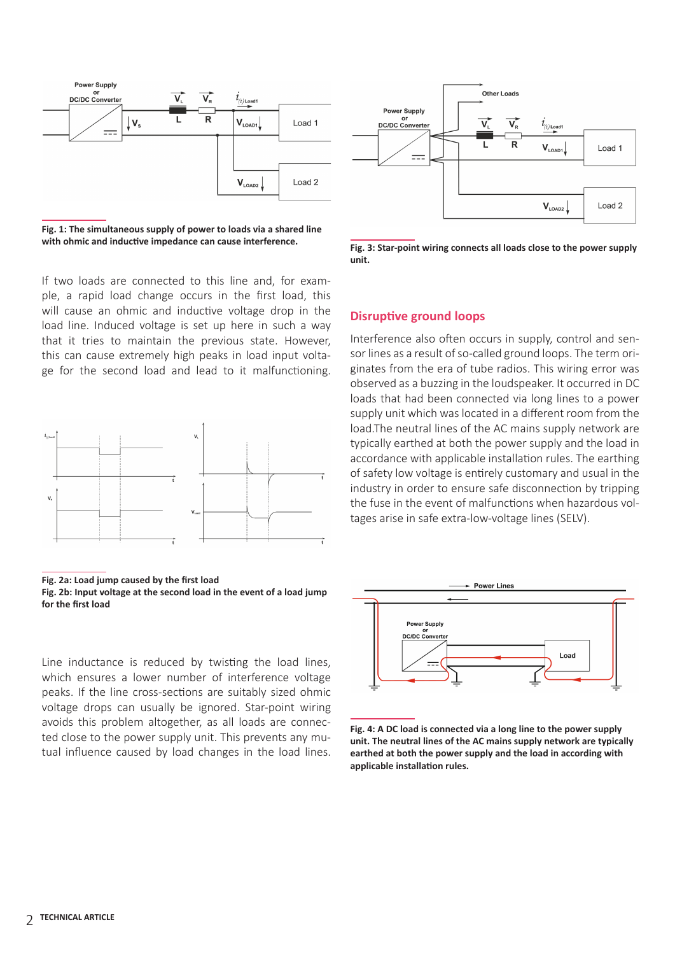

**Fig. 1: The simultaneous supply of power to loads via a shared line with ohmic and inductive impedance can cause interference.**

If two loads are connected to this line and, for example, a rapid load change occurs in the first load, this will cause an ohmic and inductive voltage drop in the load line. Induced voltage is set up here in such a way that it tries to maintain the previous state. However, this can cause extremely high peaks in load input voltage for the second load and lead to it malfunctioning.



**Fig. 2a: Load jump caused by the first load Fig. 2b: Input voltage at the second load in the event of a load jump for the first load**

Line inductance is reduced by twisting the load lines, which ensures a lower number of interference voltage peaks. If the line cross-sections are suitably sized ohmic voltage drops can usually be ignored. Star-point wiring avoids this problem altogether, as all loads are connected close to the power supply unit. This prevents any mutual influence caused by load changes in the load lines.



**Fig. 3: Star-point wiring connects all loads close to the power supply unit.** 

## **Disruptive ground loops**

Interference also often occurs in supply, control and sensor lines as a result of so-called ground loops. The term originates from the era of tube radios. This wiring error was observed as a buzzing in the loudspeaker. It occurred in DC loads that had been connected via long lines to a power supply unit which was located in a different room from the load.The neutral lines of the AC mains supply network are typically earthed at both the power supply and the load in accordance with applicable installation rules. The earthing of safety low voltage is entirely customary and usual in the industry in order to ensure safe disconnection by tripping the fuse in the event of malfunctions when hazardous voltages arise in safe extra-low-voltage lines (SELV).



**Fig. 4: A DC load is connected via a long line to the power supply unit. The neutral lines of the AC mains supply network are typically earthed at both the power supply and the load in according with applicable installation rules.**